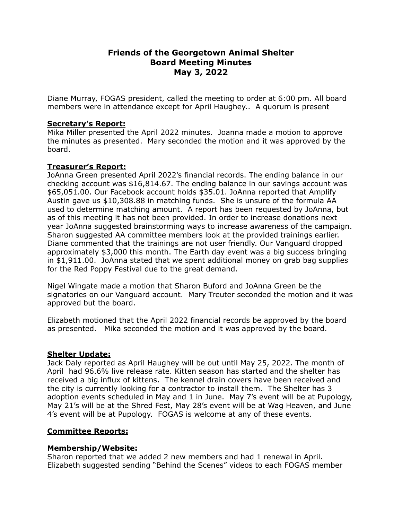# **Friends of the Georgetown Animal Shelter Board Meeting Minutes May 3, 2022**

Diane Murray, FOGAS president, called the meeting to order at 6:00 pm. All board members were in attendance except for April Haughey.. A quorum is present

# **Secretary's Report:**

Mika Miller presented the April 2022 minutes. Joanna made a motion to approve the minutes as presented. Mary seconded the motion and it was approved by the board.

# **Treasurer's Report:**

JoAnna Green presented April 2022's financial records. The ending balance in our checking account was \$16,814.67. The ending balance in our savings account was \$65,051.00. Our Facebook account holds \$35.01. JoAnna reported that Amplify Austin gave us \$10,308.88 in matching funds. She is unsure of the formula AA used to determine matching amount. A report has been requested by JoAnna, but as of this meeting it has not been provided. In order to increase donations next year JoAnna suggested brainstorming ways to increase awareness of the campaign. Sharon suggested AA committee members look at the provided trainings earlier. Diane commented that the trainings are not user friendly. Our Vanguard dropped approximately \$3,000 this month. The Earth day event was a big success bringing in \$1,911.00. JoAnna stated that we spent additional money on grab bag supplies for the Red Poppy Festival due to the great demand.

Nigel Wingate made a motion that Sharon Buford and JoAnna Green be the signatories on our Vanguard account. Mary Treuter seconded the motion and it was approved but the board.

Elizabeth motioned that the April 2022 financial records be approved by the board as presented. Mika seconded the motion and it was approved by the board.

## **Shelter Update:**

Jack Daly reported as April Haughey will be out until May 25, 2022. The month of April had 96.6% live release rate. Kitten season has started and the shelter has received a big influx of kittens. The kennel drain covers have been received and the city is currently looking for a contractor to install them. The Shelter has 3 adoption events scheduled in May and 1 in June. May 7's event will be at Pupology, May 21's will be at the Shred Fest, May 28's event will be at Wag Heaven, and June 4's event will be at Pupology. FOGAS is welcome at any of these events.

# **Committee Reports:**

## **Membership/Website:**

Sharon reported that we added 2 new members and had 1 renewal in April. Elizabeth suggested sending "Behind the Scenes" videos to each FOGAS member